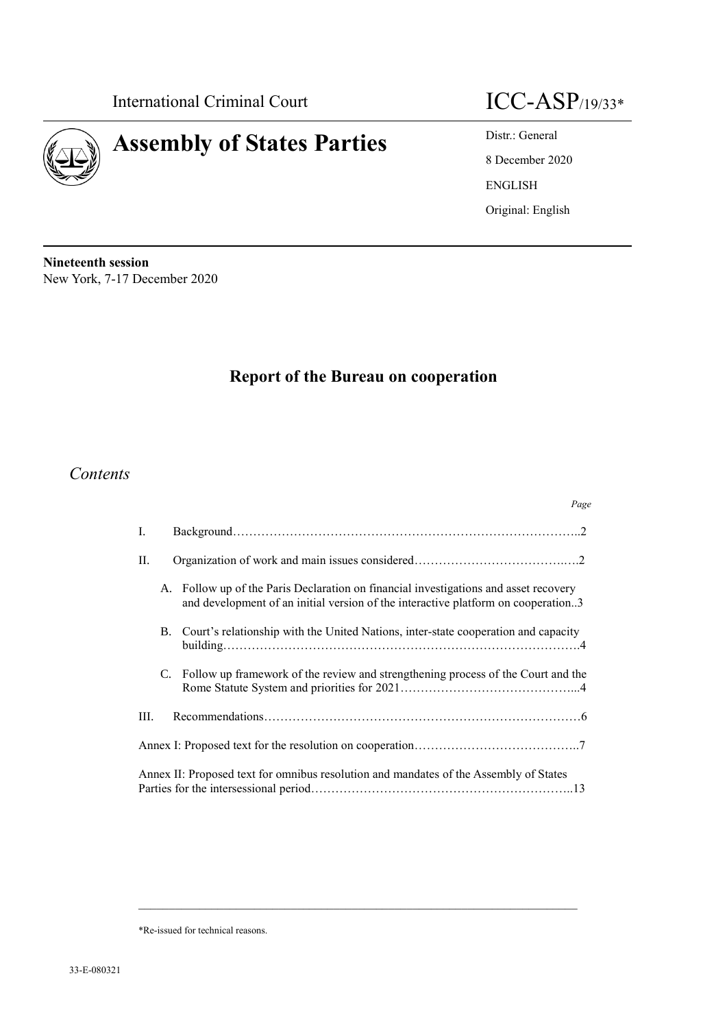

# **Assembly of States Parties** Distr.: General



8 December 2020 ENGLISH Original: English

**Nineteenth session** New York, 7-17 December 2020

# **Report of the Bureau on cooperation**

# *Contents*

|         |            | Page                                                                                                                                                                      |  |
|---------|------------|---------------------------------------------------------------------------------------------------------------------------------------------------------------------------|--|
| Ι.      |            |                                                                                                                                                                           |  |
| $\Pi$ . |            |                                                                                                                                                                           |  |
|         |            | A. Follow up of the Paris Declaration on financial investigations and asset recovery<br>and development of an initial version of the interactive platform on cooperation3 |  |
|         | <b>B</b> . | Court's relationship with the United Nations, inter-state cooperation and capacity                                                                                        |  |
|         | C.         | Follow up framework of the review and strengthening process of the Court and the                                                                                          |  |
| III.    |            |                                                                                                                                                                           |  |
|         |            |                                                                                                                                                                           |  |
|         |            | Annex II: Proposed text for omnibus resolution and mandates of the Assembly of States                                                                                     |  |

 $\_$  , and the set of the set of the set of the set of the set of the set of the set of the set of the set of the set of the set of the set of the set of the set of the set of the set of the set of the set of the set of th

\*Re-issued for technical reasons.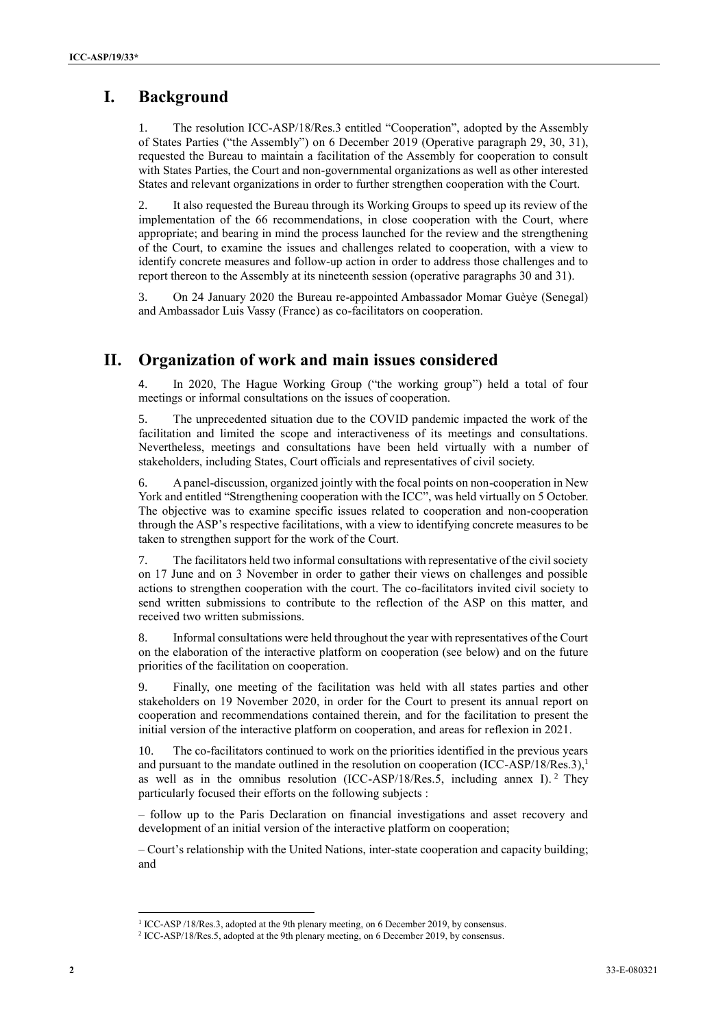# **I. Background**

The resolution ICC-ASP/18/Res.3 entitled "Cooperation", adopted by the Assembly of States Parties ("the Assembly") on 6 December 2019 (Operative paragraph 29, 30, 31), requested the Bureau to maintain a facilitation of the Assembly for cooperation to consult with States Parties, the Court and non-governmental organizations as well as other interested States and relevant organizations in order to further strengthen cooperation with the Court.

2. It also requested the Bureau through its Working Groups to speed up its review of the implementation of the 66 recommendations, in close cooperation with the Court, where appropriate; and bearing in mind the process launched for the review and the strengthening of the Court, to examine the issues and challenges related to cooperation, with a view to identify concrete measures and follow-up action in order to address those challenges and to report thereon to the Assembly at its nineteenth session (operative paragraphs 30 and 31).

3. On 24 January 2020 the Bureau re-appointed Ambassador Momar Guèye (Senegal) and Ambassador Luis Vassy (France) as co-facilitators on cooperation.

# **II. Organization of work and main issues considered**

4. In 2020, The Hague Working Group ("the working group") held a total of four meetings or informal consultations on the issues of cooperation.

5. The unprecedented situation due to the COVID pandemic impacted the work of the facilitation and limited the scope and interactiveness of its meetings and consultations. Nevertheless, meetings and consultations have been held virtually with a number of stakeholders, including States, Court officials and representatives of civil society.

6. A panel-discussion, organized jointly with the focal points on non-cooperation in New York and entitled "Strengthening cooperation with the ICC", was held virtually on 5 October. The objective was to examine specific issues related to cooperation and non-cooperation through the ASP's respective facilitations, with a view to identifying concrete measures to be taken to strengthen support for the work of the Court.

7. The facilitators held two informal consultations with representative of the civil society on 17 June and on 3 November in order to gather their views on challenges and possible actions to strengthen cooperation with the court. The co-facilitators invited civil society to send written submissions to contribute to the reflection of the ASP on this matter, and received two written submissions.

8. Informal consultations were held throughout the year with representatives of the Court on the elaboration of the interactive platform on cooperation (see below) and on the future priorities of the facilitation on cooperation.

9. Finally, one meeting of the facilitation was held with all states parties and other stakeholders on 19 November 2020, in order for the Court to present its annual report on cooperation and recommendations contained therein, and for the facilitation to present the initial version of the interactive platform on cooperation, and areas for reflexion in 2021.

10. The co-facilitators continued to work on the priorities identified in the previous years and pursuant to the mandate outlined in the resolution on cooperation (ICC-ASP/18/Res.3),<sup>1</sup> as well as in the omnibus resolution (ICC-ASP/18/Res.5, including annex I).<sup>2</sup> They particularly focused their efforts on the following subjects :

– follow up to the Paris Declaration on financial investigations and asset recovery and development of an initial version of the interactive platform on cooperation;

– Court's relationship with the United Nations, inter-state cooperation and capacity building; and

<sup>&</sup>lt;sup>1</sup> ICC-ASP /18/Res.3, adopted at the 9th plenary meeting, on 6 December 2019, by consensus.

<sup>&</sup>lt;sup>2</sup> ICC-ASP/18/Res.5, adopted at the 9th plenary meeting, on 6 December 2019, by consensus.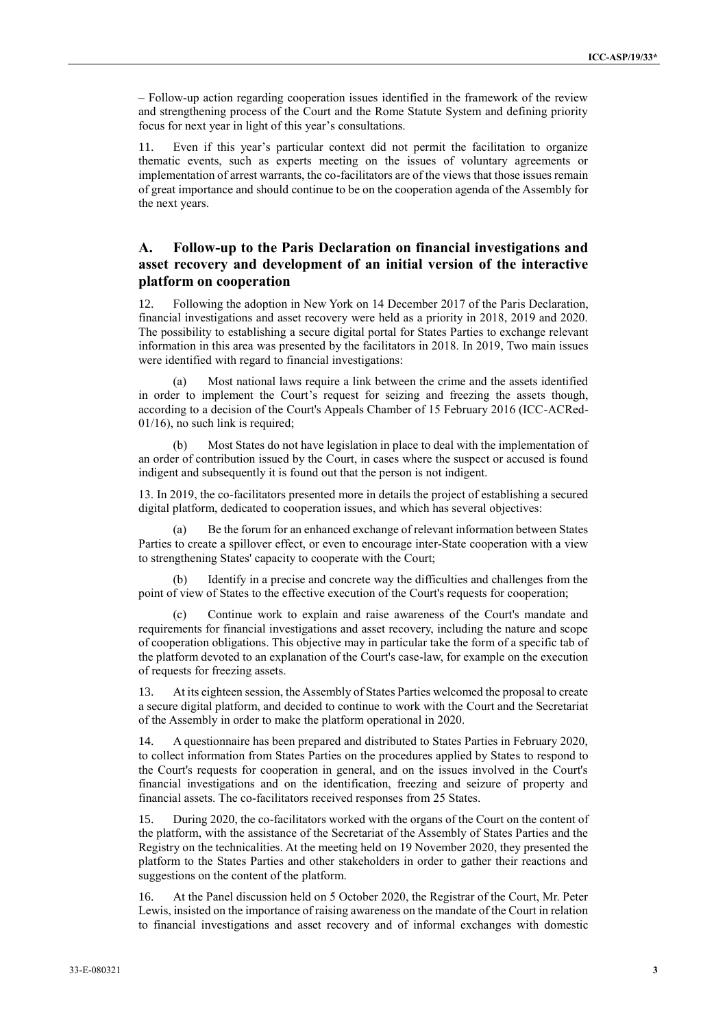– Follow-up action regarding cooperation issues identified in the framework of the review and strengthening process of the Court and the Rome Statute System and defining priority focus for next year in light of this year's consultations.

11. Even if this year's particular context did not permit the facilitation to organize thematic events, such as experts meeting on the issues of voluntary agreements or implementation of arrest warrants, the co-facilitators are of the views that those issues remain of great importance and should continue to be on the cooperation agenda of the Assembly for the next years.

### **A. Follow-up to the Paris Declaration on financial investigations and asset recovery and development of an initial version of the interactive platform on cooperation**

12. Following the adoption in New York on 14 December 2017 of the Paris Declaration, financial investigations and asset recovery were held as a priority in 2018, 2019 and 2020. The possibility to establishing a secure digital portal for States Parties to exchange relevant information in this area was presented by the facilitators in 2018. In 2019, Two main issues were identified with regard to financial investigations:

(a) Most national laws require a link between the crime and the assets identified in order to implement the Court's request for seizing and freezing the assets though, according to a decision of the Court's Appeals Chamber of 15 February 2016 (ICC-ACRed-01/16), no such link is required;

(b) Most States do not have legislation in place to deal with the implementation of an order of contribution issued by the Court, in cases where the suspect or accused is found indigent and subsequently it is found out that the person is not indigent.

13. In 2019, the co-facilitators presented more in details the project of establishing a secured digital platform, dedicated to cooperation issues, and which has several objectives:

(a) Be the forum for an enhanced exchange of relevant information between States Parties to create a spillover effect, or even to encourage inter-State cooperation with a view to strengthening States' capacity to cooperate with the Court;

Identify in a precise and concrete way the difficulties and challenges from the point of view of States to the effective execution of the Court's requests for cooperation;

(c) Continue work to explain and raise awareness of the Court's mandate and requirements for financial investigations and asset recovery, including the nature and scope of cooperation obligations. This objective may in particular take the form of a specific tab of the platform devoted to an explanation of the Court's case-law, for example on the execution of requests for freezing assets.

13. At its eighteen session, the Assembly of States Parties welcomed the proposal to create a secure digital platform, and decided to continue to work with the Court and the Secretariat of the Assembly in order to make the platform operational in 2020.

14. A questionnaire has been prepared and distributed to States Parties in February 2020, to collect information from States Parties on the procedures applied by States to respond to the Court's requests for cooperation in general, and on the issues involved in the Court's financial investigations and on the identification, freezing and seizure of property and financial assets. The co-facilitators received responses from 25 States.

15. During 2020, the co-facilitators worked with the organs of the Court on the content of the platform, with the assistance of the Secretariat of the Assembly of States Parties and the Registry on the technicalities. At the meeting held on 19 November 2020, they presented the platform to the States Parties and other stakeholders in order to gather their reactions and suggestions on the content of the platform.

16. At the Panel discussion held on 5 October 2020, the Registrar of the Court, Mr. Peter Lewis, insisted on the importance of raising awareness on the mandate of the Court in relation to financial investigations and asset recovery and of informal exchanges with domestic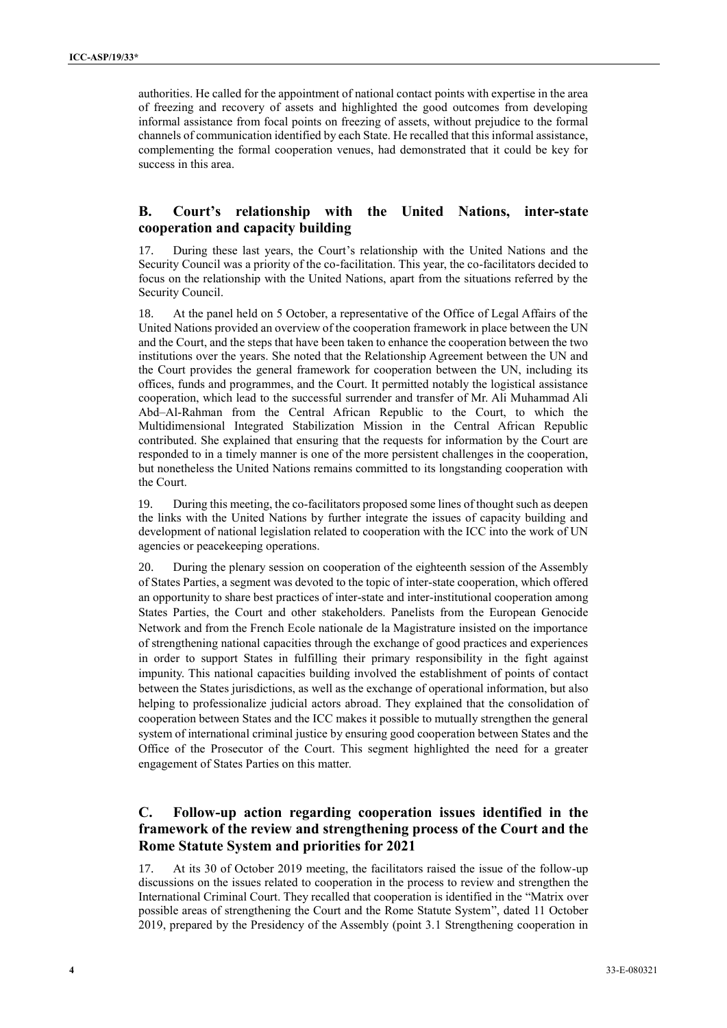authorities. He called for the appointment of national contact points with expertise in the area of freezing and recovery of assets and highlighted the good outcomes from developing informal assistance from focal points on freezing of assets, without prejudice to the formal channels of communication identified by each State. He recalled that this informal assistance, complementing the formal cooperation venues, had demonstrated that it could be key for success in this area.

### **B. Court's relationship with the United Nations, inter-state cooperation and capacity building**

17. During these last years, the Court's relationship with the United Nations and the Security Council was a priority of the co-facilitation. This year, the co-facilitators decided to focus on the relationship with the United Nations, apart from the situations referred by the Security Council.

18. At the panel held on 5 October, a representative of the Office of Legal Affairs of the United Nations provided an overview of the cooperation framework in place between the UN and the Court, and the steps that have been taken to enhance the cooperation between the two institutions over the years. She noted that the Relationship Agreement between the UN and the Court provides the general framework for cooperation between the UN, including its offices, funds and programmes, and the Court. It permitted notably the logistical assistance cooperation, which lead to the successful surrender and transfer of Mr. Ali Muhammad Ali Abd–Al-Rahman from the Central African Republic to the Court, to which the Multidimensional Integrated Stabilization Mission in the Central African Republic contributed. She explained that ensuring that the requests for information by the Court are responded to in a timely manner is one of the more persistent challenges in the cooperation, but nonetheless the United Nations remains committed to its longstanding cooperation with the Court.

19. During this meeting, the co-facilitators proposed some lines of thought such as deepen the links with the United Nations by further integrate the issues of capacity building and development of national legislation related to cooperation with the ICC into the work of UN agencies or peacekeeping operations.

20. During the plenary session on cooperation of the eighteenth session of the Assembly of States Parties, a segment was devoted to the topic of inter-state cooperation, which offered an opportunity to share best practices of inter-state and inter-institutional cooperation among States Parties, the Court and other stakeholders. Panelists from the European Genocide Network and from the French Ecole nationale de la Magistrature insisted on the importance of strengthening national capacities through the exchange of good practices and experiences in order to support States in fulfilling their primary responsibility in the fight against impunity. This national capacities building involved the establishment of points of contact between the States jurisdictions, as well as the exchange of operational information, but also helping to professionalize judicial actors abroad. They explained that the consolidation of cooperation between States and the ICC makes it possible to mutually strengthen the general system of international criminal justice by ensuring good cooperation between States and the Office of the Prosecutor of the Court. This segment highlighted the need for a greater engagement of States Parties on this matter.

### **C. Follow-up action regarding cooperation issues identified in the framework of the review and strengthening process of the Court and the Rome Statute System and priorities for 2021**

17. At its 30 of October 2019 meeting, the facilitators raised the issue of the follow-up discussions on the issues related to cooperation in the process to review and strengthen the International Criminal Court. They recalled that cooperation is identified in the "Matrix over possible areas of strengthening the Court and the Rome Statute System", dated 11 October 2019, prepared by the Presidency of the Assembly (point 3.1 Strengthening cooperation in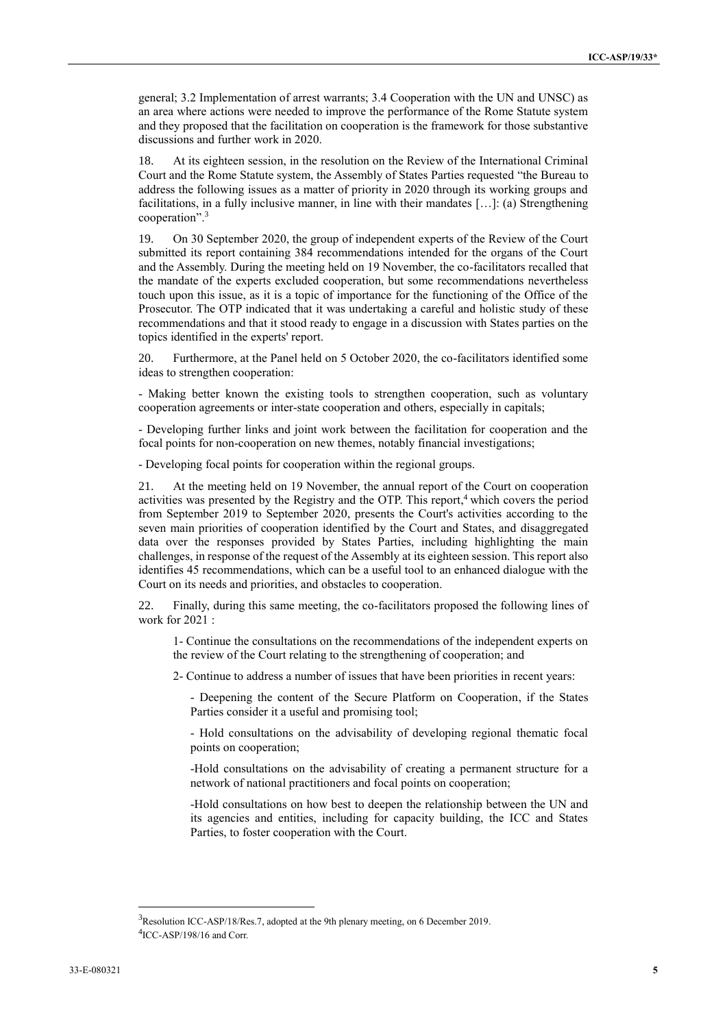general; 3.2 Implementation of arrest warrants; 3.4 Cooperation with the UN and UNSC) as an area where actions were needed to improve the performance of the Rome Statute system and they proposed that the facilitation on cooperation is the framework for those substantive discussions and further work in 2020.

18. At its eighteen session, in the resolution on the Review of the International Criminal Court and the Rome Statute system, the Assembly of States Parties requested "the Bureau to address the following issues as a matter of priority in 2020 through its working groups and facilitations, in a fully inclusive manner, in line with their mandates […]: (a) Strengthening cooperation". 3

19. On 30 September 2020, the group of independent experts of the Review of the Court submitted its report containing 384 recommendations intended for the organs of the Court and the Assembly. During the meeting held on 19 November, the co-facilitators recalled that the mandate of the experts excluded cooperation, but some recommendations nevertheless touch upon this issue, as it is a topic of importance for the functioning of the Office of the Prosecutor. The OTP indicated that it was undertaking a careful and holistic study of these recommendations and that it stood ready to engage in a discussion with States parties on the topics identified in the experts' report.

20. Furthermore, at the Panel held on 5 October 2020, the co-facilitators identified some ideas to strengthen cooperation:

- Making better known the existing tools to strengthen cooperation, such as voluntary cooperation agreements or inter-state cooperation and others, especially in capitals;

- Developing further links and joint work between the facilitation for cooperation and the focal points for non-cooperation on new themes, notably financial investigations;

- Developing focal points for cooperation within the regional groups.

21. At the meeting held on 19 November, the annual report of the Court on cooperation activities was presented by the Registry and the OTP. This report,<sup>4</sup> which covers the period from September 2019 to September 2020, presents the Court's activities according to the seven main priorities of cooperation identified by the Court and States, and disaggregated data over the responses provided by States Parties, including highlighting the main challenges, in response of the request of the Assembly at its eighteen session. This report also identifies 45 recommendations, which can be a useful tool to an enhanced dialogue with the Court on its needs and priorities, and obstacles to cooperation.

22. Finally, during this same meeting, the co-facilitators proposed the following lines of work for 2021 :

1- Continue the consultations on the recommendations of the independent experts on the review of the Court relating to the strengthening of cooperation; and

2- Continue to address a number of issues that have been priorities in recent years:

- Deepening the content of the Secure Platform on Cooperation, if the States Parties consider it a useful and promising tool;

- Hold consultations on the advisability of developing regional thematic focal points on cooperation;

-Hold consultations on the advisability of creating a permanent structure for a network of national practitioners and focal points on cooperation;

-Hold consultations on how best to deepen the relationship between the UN and its agencies and entities, including for capacity building, the ICC and States Parties, to foster cooperation with the Court.

<sup>&</sup>lt;sup>3</sup>Resolution ICC-ASP/18/Res.7, adopted at the 9th plenary meeting, on 6 December 2019. <sup>4</sup>ICC-ASP/198/16 and Corr.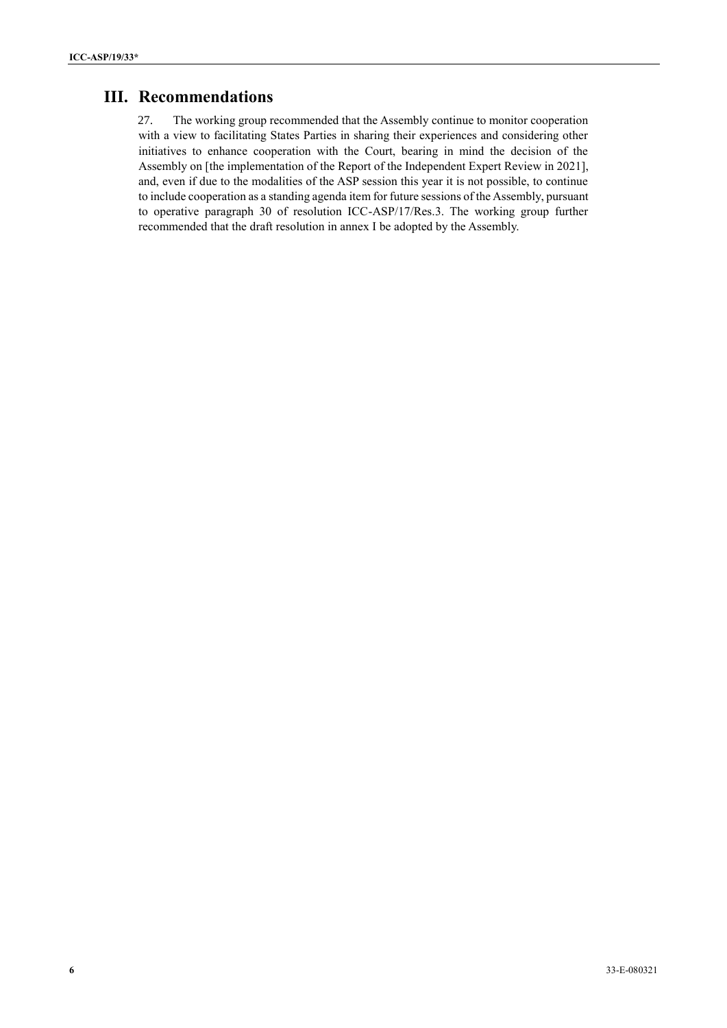# **III. Recommendations**

27. The working group recommended that the Assembly continue to monitor cooperation with a view to facilitating States Parties in sharing their experiences and considering other initiatives to enhance cooperation with the Court, bearing in mind the decision of the Assembly on [the implementation of the Report of the Independent Expert Review in 2021], and, even if due to the modalities of the ASP session this year it is not possible, to continue to include cooperation as a standing agenda item for future sessions of the Assembly, pursuant to operative paragraph 30 of resolution ICC-ASP/17/Res.3. The working group further recommended that the draft resolution in annex I be adopted by the Assembly.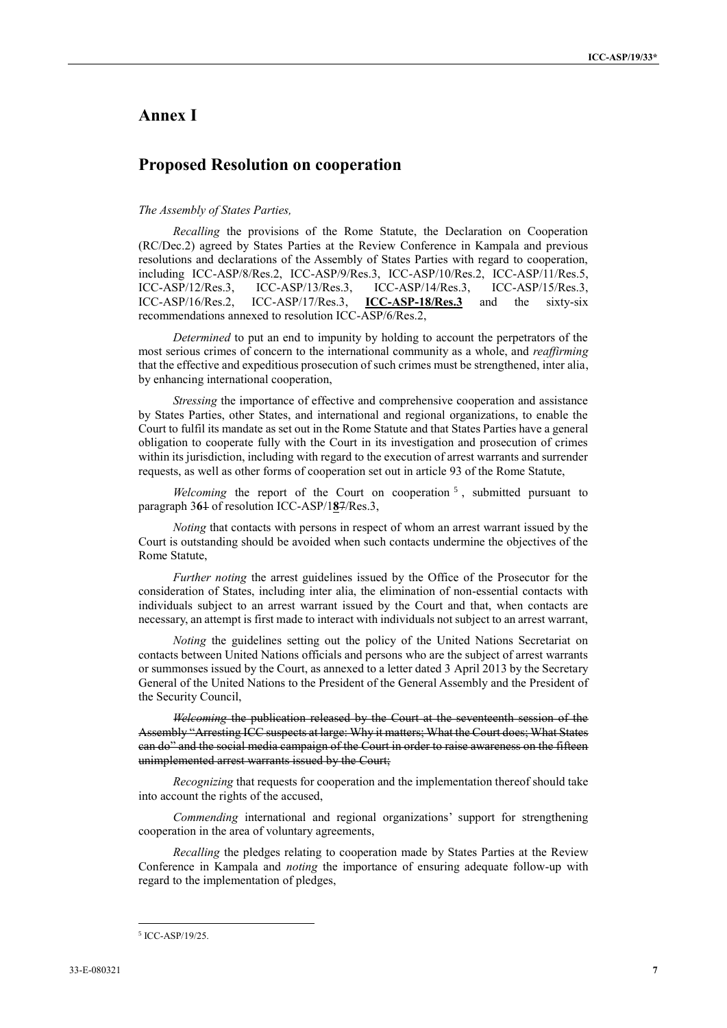### **Annex I**

# **Proposed Resolution on cooperation**

#### *The Assembly of States Parties,*

*Recalling* the provisions of the Rome Statute, the Declaration on Cooperation (RC/Dec.2) agreed by States Parties at the Review Conference in Kampala and previous resolutions and declarations of the Assembly of States Parties with regard to cooperation, including ICC-ASP/8/Res.2, ICC-ASP/9/Res.3, ICC-ASP/10/Res.2, ICC-ASP/11/Res.5, ICC-ASP/12/Res.3, ICC-ASP/13/Res.3, ICC-ASP/14/Res.3, ICC-ASP/15/Res.3, ICC-ASP/16/Res.2, ICC-ASP/17/Res.3, **ICC-ASP-18/Res.3** and the sixty-six recommendations annexed to resolution ICC-ASP/6/Res.2,

*Determined* to put an end to impunity by holding to account the perpetrators of the most serious crimes of concern to the international community as a whole, and *reaffirming*  that the effective and expeditious prosecution of such crimes must be strengthened, inter alia, by enhancing international cooperation,

*Stressing* the importance of effective and comprehensive cooperation and assistance by States Parties, other States, and international and regional organizations, to enable the Court to fulfil its mandate as set out in the Rome Statute and that States Parties have a general obligation to cooperate fully with the Court in its investigation and prosecution of crimes within its jurisdiction, including with regard to the execution of arrest warrants and surrender requests, as well as other forms of cooperation set out in article 93 of the Rome Statute,

Welcoming the report of the Court on cooperation<sup>5</sup>, submitted pursuant to paragraph 3**6**1 of resolution ICC-ASP/1**8**7/Res.3,

*Noting* that contacts with persons in respect of whom an arrest warrant issued by the Court is outstanding should be avoided when such contacts undermine the objectives of the Rome Statute,

*Further noting* the arrest guidelines issued by the Office of the Prosecutor for the consideration of States, including inter alia, the elimination of non-essential contacts with individuals subject to an arrest warrant issued by the Court and that, when contacts are necessary, an attempt is first made to interact with individuals not subject to an arrest warrant,

*Noting* the guidelines setting out the policy of the United Nations Secretariat on contacts between United Nations officials and persons who are the subject of arrest warrants or summonses issued by the Court, as annexed to a letter dated 3 April 2013 by the Secretary General of the United Nations to the President of the General Assembly and the President of the Security Council,

*Welcoming* the publication released by the Court at the seventeenth session of the Assembly "Arresting ICC suspects at large: Why it matters; What the Court does; What States can do" and the social media campaign of the Court in order to raise awareness on the fifteen unimplemented arrest warrants issued by the Court;

*Recognizing* that requests for cooperation and the implementation thereof should take into account the rights of the accused,

*Commending* international and regional organizations' support for strengthening cooperation in the area of voluntary agreements,

*Recalling* the pledges relating to cooperation made by States Parties at the Review Conference in Kampala and *noting* the importance of ensuring adequate follow-up with regard to the implementation of pledges,

<sup>5</sup> ICC-ASP/19/25.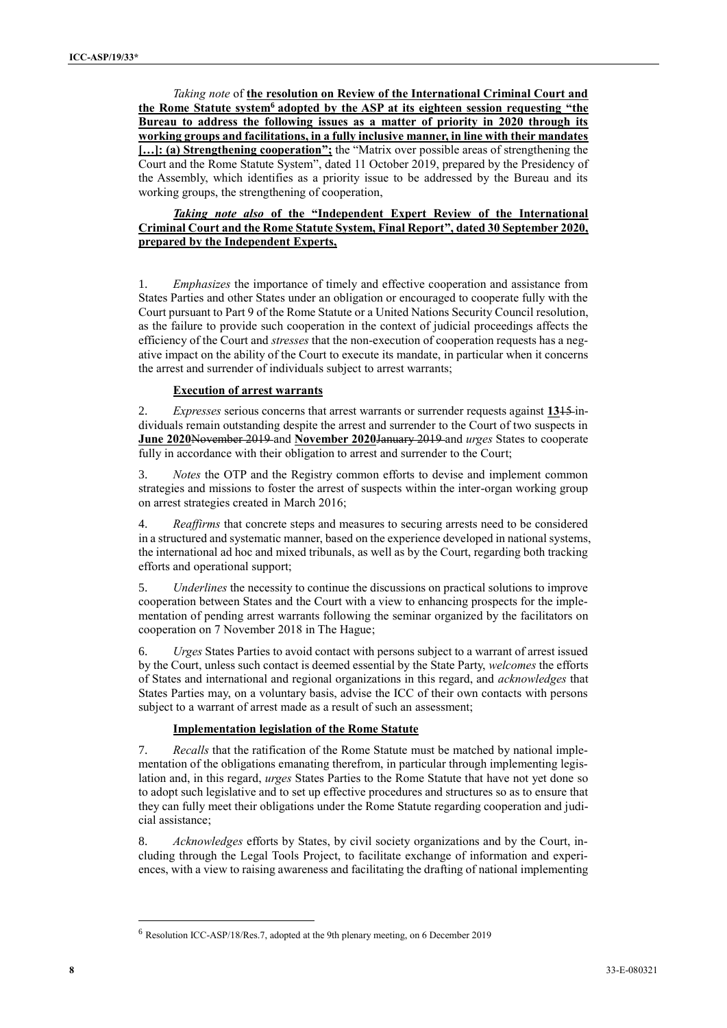*Taking note* of **the resolution on Review of the International Criminal Court and the Rome Statute system<sup>6</sup> adopted by the ASP at its eighteen session requesting "the Bureau to address the following issues as a matter of priority in 2020 through its working groups and facilitations, in a fully inclusive manner, in line with their mandates […]: (a) Strengthening cooperation";** the "Matrix over possible areas of strengthening the Court and the Rome Statute System", dated 11 October 2019, prepared by the Presidency of the Assembly, which identifies as a priority issue to be addressed by the Bureau and its working groups, the strengthening of cooperation,

#### *Taking note also* **of the "Independent Expert Review of the International Criminal Court and the Rome Statute System, Final Report", dated 30 September 2020, prepared by the Independent Experts,**

1. *Emphasizes* the importance of timely and effective cooperation and assistance from States Parties and other States under an obligation or encouraged to cooperate fully with the Court pursuant to Part 9 of the Rome Statute or a United Nations Security Council resolution, as the failure to provide such cooperation in the context of judicial proceedings affects the efficiency of the Court and *stresses* that the non-execution of cooperation requests has a negative impact on the ability of the Court to execute its mandate, in particular when it concerns the arrest and surrender of individuals subject to arrest warrants;

#### **Execution of arrest warrants**

2. *Expresses* serious concerns that arrest warrants or surrender requests against **13**15 individuals remain outstanding despite the arrest and surrender to the Court of two suspects in **June 2020**November 2019 and **November 2020**January 2019 and *urges* States to cooperate fully in accordance with their obligation to arrest and surrender to the Court;

3. *Notes* the OTP and the Registry common efforts to devise and implement common strategies and missions to foster the arrest of suspects within the inter-organ working group on arrest strategies created in March 2016;

4. *Reaffirms* that concrete steps and measures to securing arrests need to be considered in a structured and systematic manner, based on the experience developed in national systems, the international ad hoc and mixed tribunals, as well as by the Court, regarding both tracking efforts and operational support;

5. *Underlines* the necessity to continue the discussions on practical solutions to improve cooperation between States and the Court with a view to enhancing prospects for the implementation of pending arrest warrants following the seminar organized by the facilitators on cooperation on 7 November 2018 in The Hague;

6. *Urges* States Parties to avoid contact with persons subject to a warrant of arrest issued by the Court, unless such contact is deemed essential by the State Party, *welcomes* the efforts of States and international and regional organizations in this regard, and *acknowledges* that States Parties may, on a voluntary basis, advise the ICC of their own contacts with persons subject to a warrant of arrest made as a result of such an assessment;

#### **Implementation legislation of the Rome Statute**

7. *Recalls* that the ratification of the Rome Statute must be matched by national implementation of the obligations emanating therefrom, in particular through implementing legislation and, in this regard, *urges* States Parties to the Rome Statute that have not yet done so to adopt such legislative and to set up effective procedures and structures so as to ensure that they can fully meet their obligations under the Rome Statute regarding cooperation and judicial assistance;

8. *Acknowledges* efforts by States, by civil society organizations and by the Court, including through the Legal Tools Project, to facilitate exchange of information and experiences, with a view to raising awareness and facilitating the drafting of national implementing

<sup>6</sup> Resolution ICC-ASP/18/Res.7, adopted at the 9th plenary meeting, on 6 December 2019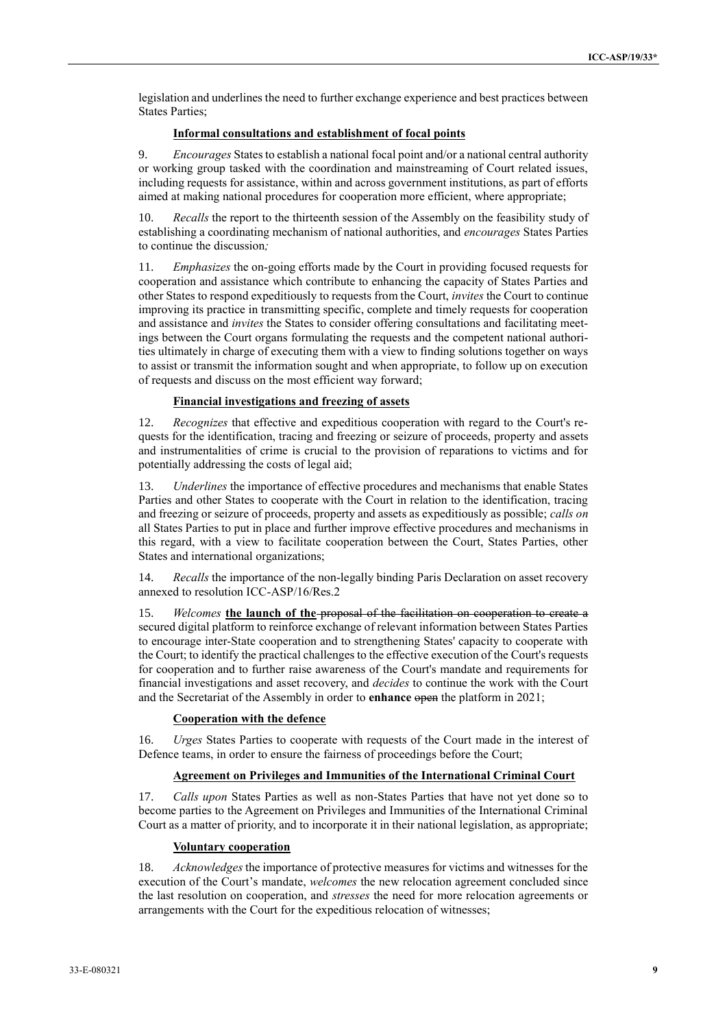legislation and underlines the need to further exchange experience and best practices between States Parties;

#### **Informal consultations and establishment of focal points**

9. *Encourages* States to establish a national focal point and/or a national central authority or working group tasked with the coordination and mainstreaming of Court related issues, including requests for assistance, within and across government institutions, as part of efforts aimed at making national procedures for cooperation more efficient, where appropriate;

Recalls the report to the thirteenth session of the Assembly on the feasibility study of establishing a coordinating mechanism of national authorities, and *encourages* States Parties to continue the discussion*;*

11. *Emphasizes* the on-going efforts made by the Court in providing focused requests for cooperation and assistance which contribute to enhancing the capacity of States Parties and other States to respond expeditiously to requests from the Court, *invites* the Court to continue improving its practice in transmitting specific, complete and timely requests for cooperation and assistance and *invites* the States to consider offering consultations and facilitating meetings between the Court organs formulating the requests and the competent national authorities ultimately in charge of executing them with a view to finding solutions together on ways to assist or transmit the information sought and when appropriate, to follow up on execution of requests and discuss on the most efficient way forward;

#### **Financial investigations and freezing of assets**

12. *Recognizes* that effective and expeditious cooperation with regard to the Court's requests for the identification, tracing and freezing or seizure of proceeds, property and assets and instrumentalities of crime is crucial to the provision of reparations to victims and for potentially addressing the costs of legal aid;

13. *Underlines* the importance of effective procedures and mechanisms that enable States Parties and other States to cooperate with the Court in relation to the identification, tracing and freezing or seizure of proceeds, property and assets as expeditiously as possible; *calls on*  all States Parties to put in place and further improve effective procedures and mechanisms in this regard, with a view to facilitate cooperation between the Court, States Parties, other States and international organizations;

14. *Recalls* the importance of the non-legally binding Paris Declaration on asset recovery annexed to resolution ICC-ASP/16/Res.2

15. *Welcomes* **the launch of the** proposal of the facilitation on cooperation to create a secured digital platform to reinforce exchange of relevant information between States Parties to encourage inter-State cooperation and to strengthening States' capacity to cooperate with the Court; to identify the practical challenges to the effective execution of the Court's requests for cooperation and to further raise awareness of the Court's mandate and requirements for financial investigations and asset recovery, and *decides* to continue the work with the Court and the Secretariat of the Assembly in order to **enhance** open the platform in 2021;

#### **Cooperation with the defence**

16. *Urges* States Parties to cooperate with requests of the Court made in the interest of Defence teams, in order to ensure the fairness of proceedings before the Court;

#### **Agreement on Privileges and Immunities of the International Criminal Court**

17. *Calls upon* States Parties as well as non-States Parties that have not yet done so to become parties to the Agreement on Privileges and Immunities of the International Criminal Court as a matter of priority, and to incorporate it in their national legislation, as appropriate;

#### **Voluntary cooperation**

18. *Acknowledges* the importance of protective measures for victims and witnesses for the execution of the Court's mandate, *welcomes* the new relocation agreement concluded since the last resolution on cooperation, and *stresses* the need for more relocation agreements or arrangements with the Court for the expeditious relocation of witnesses;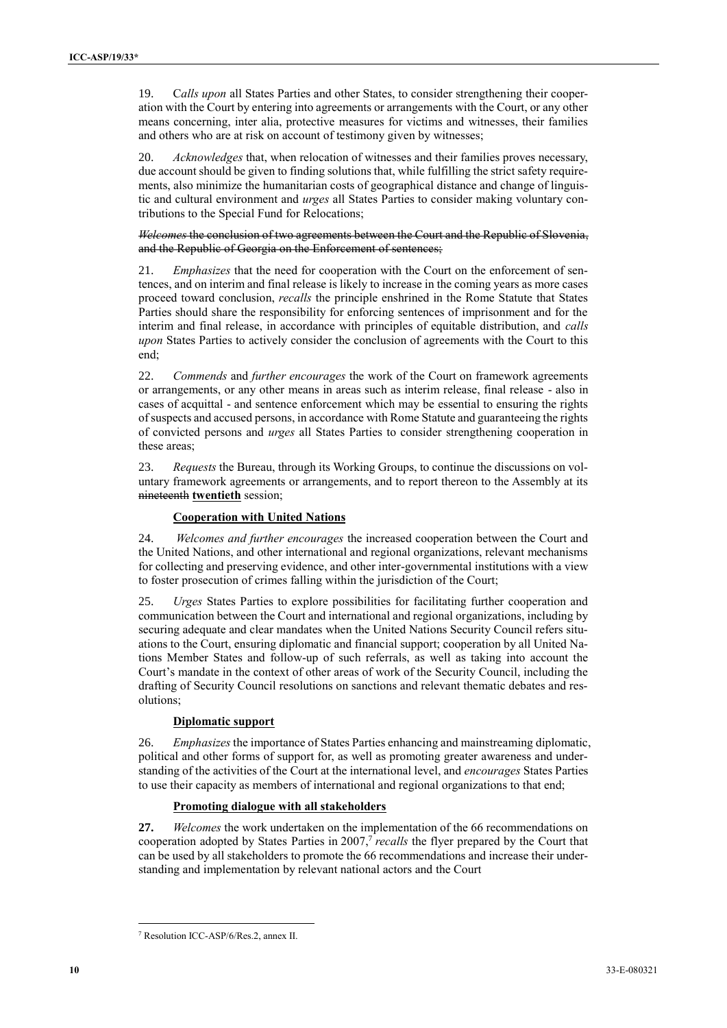19. C*alls upon* all States Parties and other States, to consider strengthening their cooperation with the Court by entering into agreements or arrangements with the Court, or any other means concerning, inter alia, protective measures for victims and witnesses, their families and others who are at risk on account of testimony given by witnesses;

20. *Acknowledges* that, when relocation of witnesses and their families proves necessary, due account should be given to finding solutions that, while fulfilling the strict safety requirements, also minimize the humanitarian costs of geographical distance and change of linguistic and cultural environment and *urges* all States Parties to consider making voluntary contributions to the Special Fund for Relocations;

*Welcomes* the conclusion of two agreements between the Court and the Republic of Slovenia, and the Republic of Georgia on the Enforcement of sentences;

21. *Emphasizes* that the need for cooperation with the Court on the enforcement of sentences, and on interim and final release is likely to increase in the coming years as more cases proceed toward conclusion, *recalls* the principle enshrined in the Rome Statute that States Parties should share the responsibility for enforcing sentences of imprisonment and for the interim and final release, in accordance with principles of equitable distribution, and *calls upon* States Parties to actively consider the conclusion of agreements with the Court to this end;

22. *Commends* and *further encourages* the work of the Court on framework agreements or arrangements, or any other means in areas such as interim release, final release - also in cases of acquittal - and sentence enforcement which may be essential to ensuring the rights of suspects and accused persons, in accordance with Rome Statute and guaranteeing the rights of convicted persons and *urges* all States Parties to consider strengthening cooperation in these areas;

23. *Requests* the Bureau, through its Working Groups, to continue the discussions on voluntary framework agreements or arrangements, and to report thereon to the Assembly at its nineteenth **twentieth** session;

#### **Cooperation with United Nations**

24. *Welcomes and further encourages* the increased cooperation between the Court and the United Nations, and other international and regional organizations, relevant mechanisms for collecting and preserving evidence, and other inter-governmental institutions with a view to foster prosecution of crimes falling within the jurisdiction of the Court;

25. *Urges* States Parties to explore possibilities for facilitating further cooperation and communication between the Court and international and regional organizations, including by securing adequate and clear mandates when the United Nations Security Council refers situations to the Court, ensuring diplomatic and financial support; cooperation by all United Nations Member States and follow-up of such referrals, as well as taking into account the Court's mandate in the context of other areas of work of the Security Council, including the drafting of Security Council resolutions on sanctions and relevant thematic debates and resolutions;

#### **Diplomatic support**

26. *Emphasizes* the importance of States Parties enhancing and mainstreaming diplomatic, political and other forms of support for, as well as promoting greater awareness and understanding of the activities of the Court at the international level, and *encourages* States Parties to use their capacity as members of international and regional organizations to that end;

#### **Promoting dialogue with all stakeholders**

**27.** *Welcomes* the work undertaken on the implementation of the 66 recommendations on cooperation adopted by States Parties in 2007,<sup>7</sup> recalls the flyer prepared by the Court that can be used by all stakeholders to promote the 66 recommendations and increase their understanding and implementation by relevant national actors and the Court

<sup>7</sup> Resolution ICC-ASP/6/Res.2, annex II.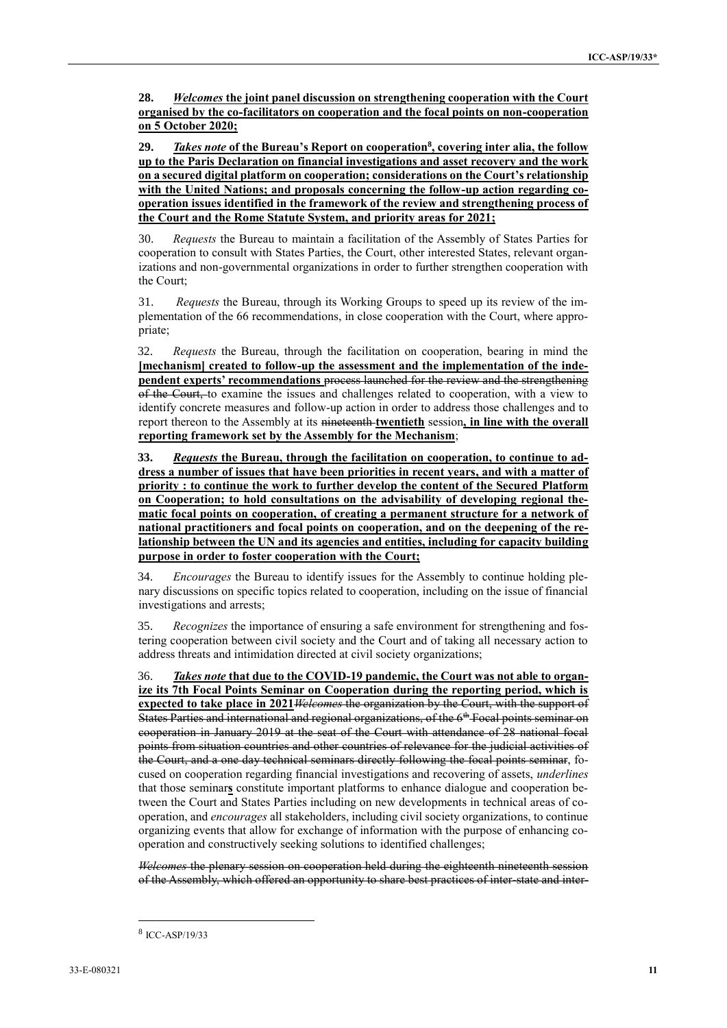**28.** *Welcomes* **the joint panel discussion on strengthening cooperation with the Court organised by the co-facilitators on cooperation and the focal points on non-cooperation on 5 October 2020;** 

**29.** *Takes note* **of the Bureau's Report on cooperation<sup>8</sup> , covering inter alia, the follow up to the Paris Declaration on financial investigations and asset recovery and the work on a secured digital platform on cooperation; considerations on the Court's relationship with the United Nations; and proposals concerning the follow-up action regarding cooperation issues identified in the framework of the review and strengthening process of the Court and the Rome Statute System, and priority areas for 2021;**

30. *Requests* the Bureau to maintain a facilitation of the Assembly of States Parties for cooperation to consult with States Parties, the Court, other interested States, relevant organizations and non-governmental organizations in order to further strengthen cooperation with the Court;

31. *Requests* the Bureau, through its Working Groups to speed up its review of the implementation of the 66 recommendations, in close cooperation with the Court, where appropriate;

32. *Requests* the Bureau, through the facilitation on cooperation, bearing in mind the [mechanism] created to follow-up the assessment and the implementation of the inde**pendent experts' recommendations** process launched for the review and the strengthening of the Court, to examine the issues and challenges related to cooperation, with a view to identify concrete measures and follow-up action in order to address those challenges and to report thereon to the Assembly at its nineteenth **twentieth** session**, in line with the overall reporting framework set by the Assembly for the Mechanism**;

**33.** *Requests* **the Bureau, through the facilitation on cooperation, to continue to address a number of issues that have been priorities in recent years, and with a matter of priority : to continue the work to further develop the content of the Secured Platform on Cooperation; to hold consultations on the advisability of developing regional thematic focal points on cooperation, of creating a permanent structure for a network of national practitioners and focal points on cooperation, and on the deepening of the relationship between the UN and its agencies and entities, including for capacity building purpose in order to foster cooperation with the Court;**

34. *Encourages* the Bureau to identify issues for the Assembly to continue holding plenary discussions on specific topics related to cooperation, including on the issue of financial investigations and arrests;

35. *Recognizes* the importance of ensuring a safe environment for strengthening and fostering cooperation between civil society and the Court and of taking all necessary action to address threats and intimidation directed at civil society organizations;

36. *Takes note* **that due to the COVID-19 pandemic, the Court was not able to organize its 7th Focal Points Seminar on Cooperation during the reporting period, which is expected to take place in 2021***Welcomes* the organization by the Court, with the support of States Parties and international and regional organizations, of the 6<sup>th</sup> Focal points seminar on cooperation in January 2019 at the seat of the Court with attendance of 28 national focal points from situation countries and other countries of relevance for the judicial activities of the Court, and a one day technical seminars directly following the focal points seminar, focused on cooperation regarding financial investigations and recovering of assets, *underlines* that those seminar**s** constitute important platforms to enhance dialogue and cooperation between the Court and States Parties including on new developments in technical areas of cooperation, and *encourages* all stakeholders, including civil society organizations, to continue organizing events that allow for exchange of information with the purpose of enhancing cooperation and constructively seeking solutions to identified challenges;

*Welcomes* the plenary session on cooperation held during the eighteenth nineteenth session of the Assembly, which offered an opportunity to share best practices of inter-state and inter-

<sup>8</sup> ICC-ASP/19/33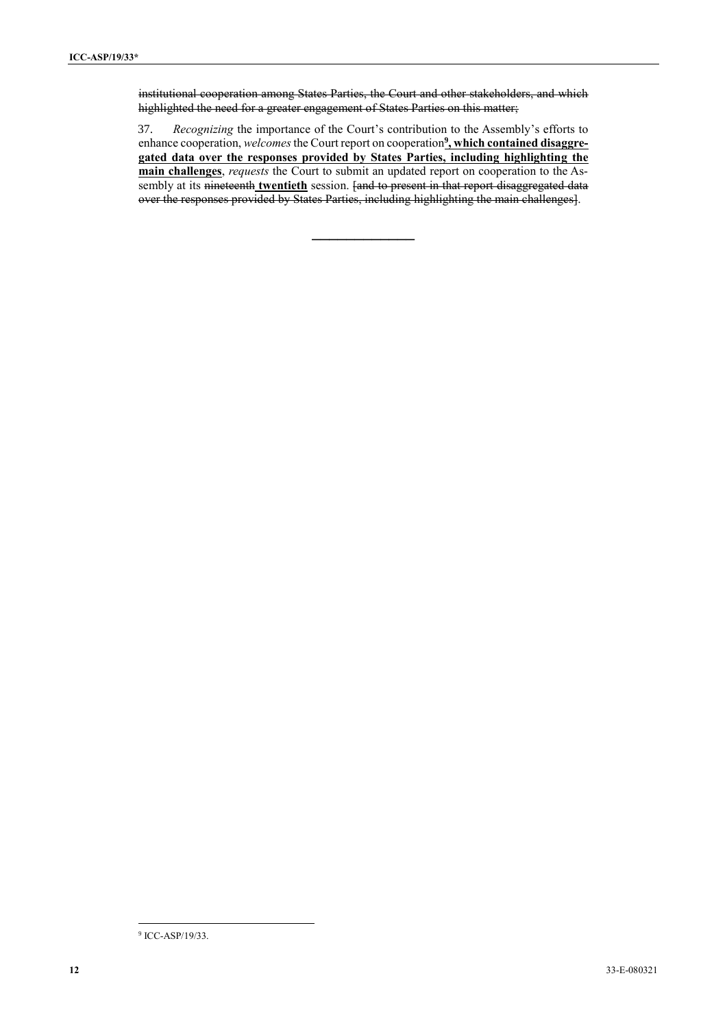institutional cooperation among States Parties, the Court and other stakeholders, and which highlighted the need for a greater engagement of States Parties on this matter;

37. *Recognizing* the importance of the Court's contribution to the Assembly's efforts to enhance cooperation, *welcomes* the Court report on cooperation<sup>9</sup>, which contained disaggre**gated data over the responses provided by States Parties, including highlighting the main challenges**, *requests* the Court to submit an updated report on cooperation to the Assembly at its nineteenth **twentieth** session. [and to present in that report disaggregated data over the responses provided by States Parties, including highlighting the main challenges].

 $\overline{\phantom{a}}$ 9 ICC-ASP/19/33.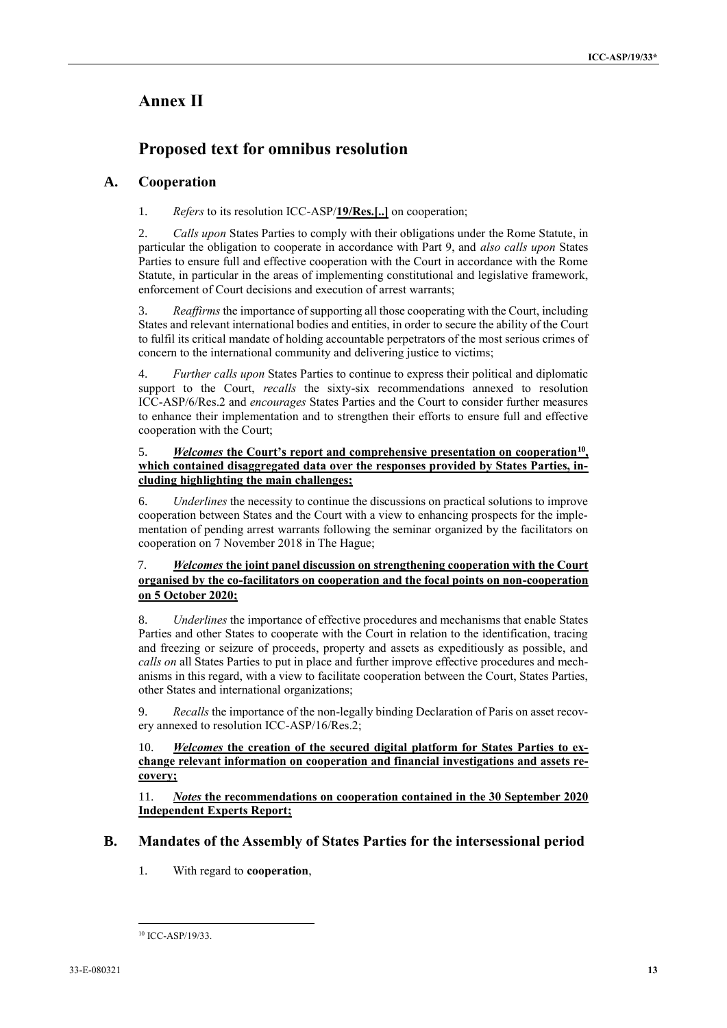# **Annex II**

# **Proposed text for omnibus resolution**

# **A. Cooperation**

1. *Refers* to its resolution ICC-ASP/**19/Res.[..]** on cooperation;

2. *Calls upon* States Parties to comply with their obligations under the Rome Statute, in particular the obligation to cooperate in accordance with Part 9, and *also calls upon* States Parties to ensure full and effective cooperation with the Court in accordance with the Rome Statute, in particular in the areas of implementing constitutional and legislative framework, enforcement of Court decisions and execution of arrest warrants;

3. *Reaffirms* the importance of supporting all those cooperating with the Court, including States and relevant international bodies and entities, in order to secure the ability of the Court to fulfil its critical mandate of holding accountable perpetrators of the most serious crimes of concern to the international community and delivering justice to victims;

4. *Further calls upon* States Parties to continue to express their political and diplomatic support to the Court, *recalls* the sixty-six recommendations annexed to resolution ICC-ASP/6/Res.2 and *encourages* States Parties and the Court to consider further measures to enhance their implementation and to strengthen their efforts to ensure full and effective cooperation with the Court;

#### 5. *Welcomes* **the Court's report and comprehensive presentation on cooperation<sup>10</sup> , which contained disaggregated data over the responses provided by States Parties, including highlighting the main challenges;**

6. *Underlines* the necessity to continue the discussions on practical solutions to improve cooperation between States and the Court with a view to enhancing prospects for the implementation of pending arrest warrants following the seminar organized by the facilitators on cooperation on 7 November 2018 in The Hague;

### 7. *Welcomes* **the joint panel discussion on strengthening cooperation with the Court organised by the co-facilitators on cooperation and the focal points on non-cooperation on 5 October 2020;**

8. *Underlines* the importance of effective procedures and mechanisms that enable States Parties and other States to cooperate with the Court in relation to the identification, tracing and freezing or seizure of proceeds, property and assets as expeditiously as possible, and *calls on* all States Parties to put in place and further improve effective procedures and mechanisms in this regard, with a view to facilitate cooperation between the Court, States Parties, other States and international organizations;

9. *Recalls* the importance of the non-legally binding Declaration of Paris on asset recovery annexed to resolution ICC-ASP/16/Res.2;

#### 10. *Welcomes* **the creation of the secured digital platform for States Parties to exchange relevant information on cooperation and financial investigations and assets recovery;**

11. *Notes* **the recommendations on cooperation contained in the 30 September 2020 Independent Experts Report;**

# **B. Mandates of the Assembly of States Parties for the intersessional period**

1. With regard to **cooperation**,

 $\overline{\phantom{a}}$ <sup>10</sup> ICC-ASP/19/33.